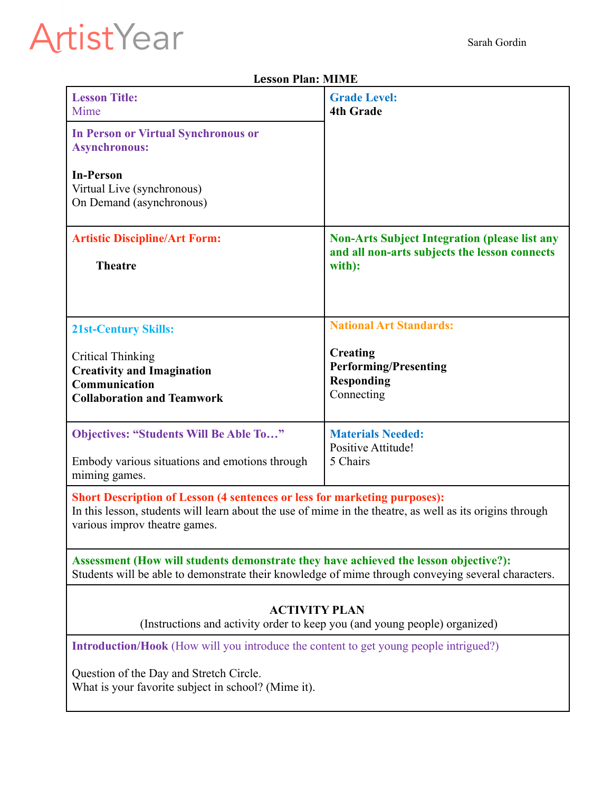## Sarah Gordin

## ArtistYear

| Lesson Pian: Milmie                                                                                                                                                                                                    |                                                                                                                 |
|------------------------------------------------------------------------------------------------------------------------------------------------------------------------------------------------------------------------|-----------------------------------------------------------------------------------------------------------------|
| <b>Lesson Title:</b><br>Mime                                                                                                                                                                                           | <b>Grade Level:</b><br><b>4th Grade</b>                                                                         |
| <b>In Person or Virtual Synchronous or</b><br><b>Asynchronous:</b>                                                                                                                                                     |                                                                                                                 |
| <b>In-Person</b><br>Virtual Live (synchronous)<br>On Demand (asynchronous)                                                                                                                                             |                                                                                                                 |
| <b>Artistic Discipline/Art Form:</b><br><b>Theatre</b>                                                                                                                                                                 | <b>Non-Arts Subject Integration (please list any</b><br>and all non-arts subjects the lesson connects<br>with): |
| <b>21st-Century Skills:</b>                                                                                                                                                                                            | <b>National Art Standards:</b>                                                                                  |
| <b>Critical Thinking</b><br><b>Creativity and Imagination</b><br>Communication<br><b>Collaboration and Teamwork</b>                                                                                                    | <b>Creating</b><br><b>Performing/Presenting</b><br><b>Responding</b><br>Connecting                              |
| <b>Objectives: "Students Will Be Able To"</b><br>Embody various situations and emotions through<br>miming games.                                                                                                       | <b>Materials Needed:</b><br>Positive Attitude!<br>5 Chairs                                                      |
| Short Description of Lesson (4 sentences or less for marketing purposes):<br>In this lesson, students will learn about the use of mime in the theatre, as well as its origins through<br>various improv theatre games. |                                                                                                                 |
| Assessment (How will students demonstrate they have achieved the lesson objective?):<br>Students will be able to demonstrate their knowledge of mime through conveying several characters.                             |                                                                                                                 |
| <b>ACTIVITY PLAN</b><br>(Instructions and activity order to keep you (and young people) organized)                                                                                                                     |                                                                                                                 |
| <b>Introduction/Hook</b> (How will you introduce the content to get young people intrigued?)                                                                                                                           |                                                                                                                 |
| Question of the Day and Stretch Circle.<br>What is your favorite subject in school? (Mime it).                                                                                                                         |                                                                                                                 |

## **Lesson Plan: MIME**